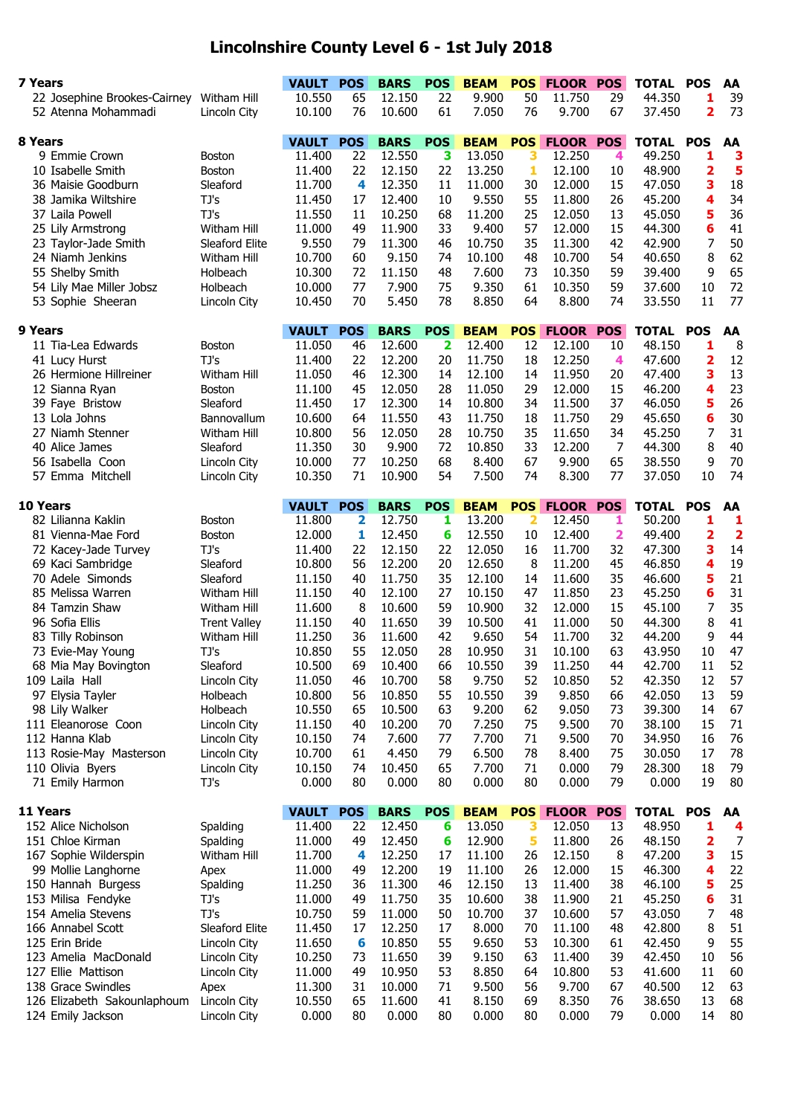## **Lincolnshire County Level 6 - 1st July 2018**

| 7 Years                         |                     | <b>VAULT</b>           | <b>POS</b>       | <b>BARS</b>           | <b>POS</b>      | <b>BEAM</b>           | <b>POS</b>      | <b>FLOOR POS</b>           |              | <b>TOTAL</b>               | <b>POS</b>              | AA                      |
|---------------------------------|---------------------|------------------------|------------------|-----------------------|-----------------|-----------------------|-----------------|----------------------------|--------------|----------------------------|-------------------------|-------------------------|
| 22 Josephine Brookes-Cairney    | Witham Hill         | 10.550                 | 65               | 12.150                | 22              | 9.900                 | 50              | 11.750                     | 29           | 44.350                     | 1                       | 39                      |
| 52 Atenna Mohammadi             | Lincoln City        | 10.100                 | 76               | 10.600                | 61              | 7.050                 | 76              | 9.700                      | 67           | 37.450                     | $\overline{\mathbf{2}}$ | 73                      |
|                                 |                     |                        |                  |                       |                 |                       |                 |                            |              |                            |                         |                         |
| 8 Years                         |                     | <b>VAULT</b>           | <b>POS</b>       | <b>BARS</b>           | <b>POS</b>      | <b>BEAM</b>           | <b>POS</b>      | <b>FLOOR</b>               | <b>POS</b>   | <b>TOTAL</b>               | <b>POS</b>              | AA                      |
| 9 Emmie Crown                   | Boston              | 11,400                 | 22               | 12.550                | 3               | 13.050                | 3               | 12.250                     | 4            | 49.250                     | 1                       | з                       |
| 10 Isabelle Smith               | <b>Boston</b>       | 11.400                 | 22               | 12.150                | 22              | 13.250                | 1               | 12.100                     | 10           | 48.900                     | 2                       | 5                       |
| 36 Maisie Goodburn              | Sleaford            | 11.700                 | 4                | 12.350                | 11              | 11.000                | 30              | 12.000                     | 15           | 47.050                     | 3                       | 18                      |
| 38 Jamika Wiltshire             | TJ's                | 11.450                 | 17               | 12.400                | 10              | 9.550                 | 55              | 11.800                     | 26           | 45.200                     | 4                       | 34                      |
| 37 Laila Powell                 | TJ's                | 11.550                 | 11               | 10.250                | 68              | 11.200                | 25              | 12.050                     | 13           | 45.050                     | 5                       | 36                      |
| 25 Lily Armstrong               | <b>Witham Hill</b>  | 11.000                 | 49               | 11.900                | 33              | 9.400                 | 57              | 12.000                     | 15           | 44.300                     | 6                       | 41                      |
| 23 Taylor-Jade Smith            | Sleaford Elite      | 9.550                  | 79               | 11.300                | 46              | 10.750                | 35              | 11.300                     | 42           | 42.900                     | 7                       | 50                      |
| 24 Niamh Jenkins                | Witham Hill         | 10.700                 | 60               | 9.150                 | 74              | 10.100                | 48              | 10.700                     | 54           | 40.650                     | 8                       | 62                      |
| 55 Shelby Smith                 | Holbeach            | 10.300                 | 72               | 11.150                | 48              | 7.600                 | 73              | 10.350                     | 59           | 39.400                     | 9                       | 65                      |
| 54 Lily Mae Miller Jobsz        | Holbeach            | 10.000                 | 77               | 7.900                 | 75              | 9.350                 | 61              | 10.350                     | 59           | 37.600                     | 10                      | 72                      |
| 53 Sophie Sheeran               | Lincoln City        | 10.450                 | 70               | 5.450                 | 78              | 8.850                 | 64              | 8.800                      | 74           | 33.550                     | 11                      | 77                      |
| 9 Years                         |                     | <b>VAULT</b>           | <b>POS</b>       | <b>BARS</b>           | <b>POS</b>      | <b>BEAM</b>           | <b>POS</b>      | <b>FLOOR</b>               | <b>POS</b>   | <b>TOTAL</b>               | <b>POS</b>              | AA                      |
| 11 Tia-Lea Edwards              | Boston              | 11.050                 | 46               | 12.600                | 2               | 12.400                | 12              | 12.100                     | 10           | 48.150                     | 1                       | 8                       |
| 41 Lucy Hurst                   | TJ's                | 11.400                 | 22               | 12.200                | 20              | 11.750                | 18              | 12.250                     | 4            | 47.600                     | 2                       | 12                      |
| 26 Hermione Hillreiner          | Witham Hill         | 11.050                 | 46               | 12.300                | 14              | 12.100                | 14              | 11.950                     | 20           | 47.400                     | 3                       | 13                      |
| 12 Sianna Ryan                  | <b>Boston</b>       | 11.100                 | 45               | 12.050                | 28              | 11.050                | 29              | 12.000                     | 15           | 46.200                     | 4                       | 23                      |
| 39 Faye Bristow                 | Sleaford            | 11.450                 | 17               | 12.300                | 14              | 10.800                | 34              | 11.500                     | 37           | 46.050                     | 5                       | 26                      |
| 13 Lola Johns                   | Bannovallum         | 10.600                 | 64               | 11.550                | 43              | 11.750                | 18              | 11.750                     | 29           | 45.650                     | 6                       | 30                      |
| 27 Niamh Stenner                | Witham Hill         | 10.800                 | 56               | 12.050                | 28              | 10.750                | 35              | 11.650                     | 34           | 45.250                     | 7                       | 31                      |
| 40 Alice James                  | Sleaford            | 11.350                 | 30               | 9.900                 | 72              | 10.850                | 33              | 12.200                     | 7            | 44.300                     | 8                       | 40                      |
| 56 Isabella Coon                | Lincoln City        | 10.000                 | 77               | 10.250                | 68              | 8.400                 | 67              | 9.900                      | 65           | 38.550                     | 9                       | 70                      |
| 57 Emma Mitchell                | Lincoln City        | 10.350                 | 71               | 10.900                | 54              | 7.500                 | 74              | 8.300                      | 77           | 37.050                     | 10                      | 74                      |
|                                 |                     |                        |                  |                       |                 |                       |                 |                            |              |                            |                         |                         |
| 10 Years                        |                     | <b>VAULT</b>           | <b>POS</b>       | <b>BARS</b>           | <b>POS</b>      | <b>BEAM</b>           | <b>POS</b>      | <b>FLOOR</b>               | <b>POS</b>   | <b>TOTAL</b>               | <b>POS</b>              | AA                      |
| 82 Lilianna Kaklin              | <b>Boston</b>       | 11.800                 | 2                | 12.750                | 1               | 13.200                | 2               | 12.450                     | 1            | 50.200                     | 1                       | 1                       |
| 81 Vienna-Mae Ford              | <b>Boston</b>       | 12.000                 | 1                | 12.450                | 6               | 12.550                | 10              | 12.400                     | $\mathbf{2}$ | 49.400                     | 2                       | $\overline{\mathbf{2}}$ |
| 72 Kacey-Jade Turvey            | TJ's                | 11.400                 | 22               | 12.150                | 22              | 12.050                | 16              | 11.700                     | 32           | 47.300                     | 3                       | 14                      |
| 69 Kaci Sambridge               | Sleaford            | 10.800                 | 56               | 12.200                | 20              | 12.650                | 8               | 11.200                     | 45           | 46.850                     | 4                       | 19                      |
| 70 Adele Simonds                | Sleaford            | 11.150                 | 40               | 11.750                | 35              | 12.100                | 14              | 11.600                     | 35           | 46.600                     | 5                       | 21                      |
| 85 Melissa Warren               | Witham Hill         | 11.150                 | 40               | 12.100                | 27              | 10.150                | 47              | 11.850                     | 23           | 45.250                     | 6                       | 31                      |
| 84 Tamzin Shaw                  | Witham Hill         | 11.600                 | 8                | 10.600                | 59              | 10.900                | 32              | 12.000                     | 15           | 45.100                     | 7                       | 35                      |
| 96 Sofia Ellis                  | <b>Trent Valley</b> | 11.150                 | 40               | 11.650                | 39              | 10.500                | 41              | 11.000                     | 50           | 44.300                     | 8                       | 41                      |
| 83 Tilly Robinson               | Witham Hill         | 11.250                 | 36               | 11.600                | 42              | 9.650                 | 54              | 11.700                     | 32           | 44.200                     | 9                       | 44                      |
| 73 Evie-May Young               | TJ's                | 10.850                 | 55               | 12.050                | 28              | 10.950                | 31              | 10.100                     | 63           | 43.950                     | 10                      | 47                      |
| 68 Mia May Bovington            | Sleaford            | 10.500                 | 69               | 10.400                | 66              | 10.550                | 39              | 11.250                     | 44           | 42.700                     | 11                      | 52                      |
| 109 Laila Hall                  | Lincoln City        | 11.050                 | 46               | 10.700                | 58              | 9.750                 | 52              | 10.850                     | 52           | 42.350                     | 12                      | 57                      |
| 97 Elysia Tayler                | Holbeach            | 10.800                 | 56               | 10.850                | 55              | 10.550                | 39              | 9.850                      | 66           | 42.050                     | 13                      | 59                      |
| 98 Lily Walker                  | Holbeach            | 10.550                 | 65               | 10.500                | 63              | 9.200                 | 62              | 9.050                      | 73           | 39.300                     | 14                      | 67                      |
| 111 Eleanorose Coon             | Lincoln City        | 11.150                 | 40               | 10.200                | 70              | 7.250                 | 75              | 9.500                      | 70           | 38.100                     | 15                      | 71                      |
| 112 Hanna Klab                  | Lincoln City        | 10.150                 | 74               | 7.600                 | 77              | 7.700                 | 71              | 9.500                      | 70           | 34.950                     | 16                      | 76                      |
| 113 Rosie-May Masterson         | Lincoln City        | 10.700                 | 61               | 4.450                 | 79              | 6.500                 | 78              | 8.400                      | 75           | 30.050                     | 17                      | 78                      |
| 110 Olivia Byers                | Lincoln City        | 10.150                 | 74               | 10.450                | 65              | 7.700                 | 71              | 0.000                      | 79           | 28.300                     | 18                      | 79                      |
| 71 Emily Harmon                 | TJ's                | 0.000                  | 80               | 0.000                 | 80              | 0.000                 | 80              | 0.000                      | 79           | 0.000                      | 19                      | 80                      |
|                                 |                     |                        |                  |                       |                 |                       |                 |                            |              |                            |                         |                         |
| 11 Years<br>152 Alice Nicholson | Spalding            | <b>VAULT</b><br>11.400 | <b>POS</b><br>22 | <b>BARS</b><br>12.450 | <b>POS</b><br>6 | <b>BEAM</b><br>13.050 | <b>POS</b><br>з | <b>FLOOR POS</b><br>12.050 | 13           | <b>TOTAL POS</b><br>48.950 | 1                       | AA<br>4                 |
| 151 Chloe Kirman                | Spalding            | 11.000                 | 49               | 12.450                | 6               | 12.900                | 5               | 11.800                     | 26           | 48.150                     | 2                       | $\overline{7}$          |
| 167 Sophie Wilderspin           | Witham Hill         | 11.700                 | 4                | 12.250                | 17              | 11.100                | 26              | 12.150                     | 8            | 47.200                     | з                       | 15                      |
| 99 Mollie Langhorne             | Apex                | 11.000                 | 49               | 12.200                | 19              | 11.100                | 26              | 12.000                     | 15           | 46.300                     | 4                       | 22                      |
| 150 Hannah Burgess              | Spalding            | 11.250                 | 36               | 11.300                | 46              | 12.150                | 13              | 11.400                     | 38           | 46.100                     | 5                       | 25                      |
| 153 Milisa Fendyke              | TJ's                | 11.000                 | 49               | 11.750                | 35              | 10.600                | 38              | 11.900                     | 21           | 45.250                     | 6                       | 31                      |
| 154 Amelia Stevens              | TJ's                | 10.750                 | 59               | 11.000                | 50              | 10.700                | 37              | 10.600                     | 57           | 43.050                     | 7                       | 48                      |
| 166 Annabel Scott               | Sleaford Elite      | 11.450                 | 17               | 12.250                | 17              | 8.000                 | 70              | 11.100                     | 48           | 42.800                     | 8                       | 51                      |
| 125 Erin Bride                  | Lincoln City        | 11.650                 | 6                | 10.850                | 55              | 9.650                 | 53              | 10.300                     | 61           | 42.450                     | 9                       | 55                      |
| 123 Amelia MacDonald            |                     | 10.250                 | 73               | 11.650                | 39              | 9.150                 | 63              | 11.400                     | 39           | 42.450                     | 10                      | 56                      |
| 127 Ellie Mattison              | Lincoln City        | 11.000                 | 49               |                       | 53              | 8.850                 | 64              | 10.800                     |              | 41.600                     | 11                      | 60                      |
| 138 Grace Swindles              | Lincoln City        | 11.300                 | 31               | 10.950<br>10.000      | 71              | 9.500                 | 56              | 9.700                      | 53<br>67     | 40.500                     | 12                      | 63                      |
|                                 | Apex                | 10.550                 |                  | 11.600                | 41              |                       | 69              | 8.350                      | 76           | 38.650                     | 13                      | 68                      |
| 126 Elizabeth Sakounlaphoum     | Lincoln City        |                        | 65               |                       |                 | 8.150                 |                 |                            |              |                            |                         |                         |
| 124 Emily Jackson               | Lincoln City        | 0.000                  | 80               | 0.000                 | 80              | 0.000                 | 80              | 0.000                      | 79           | 0.000                      | 14                      | 80                      |